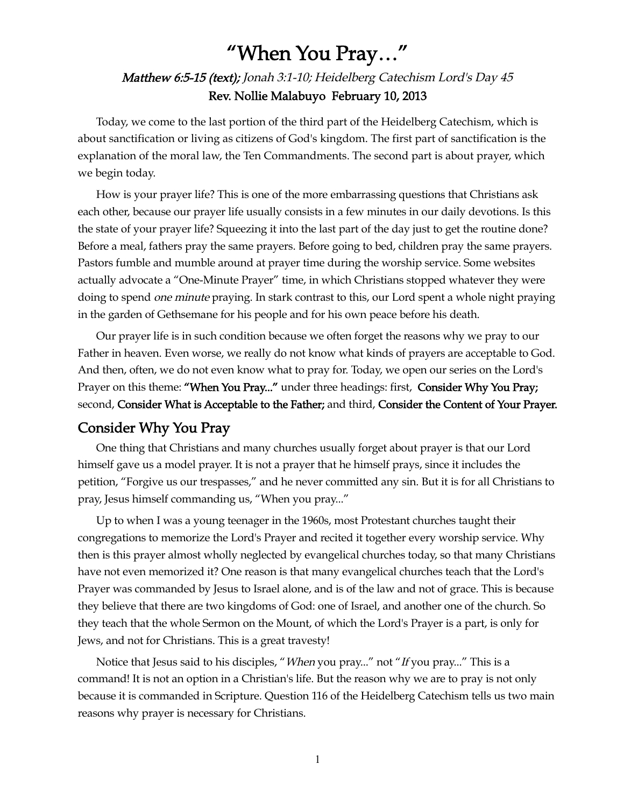# "When You Pray…"

## Matthew 6:5-15 (text); Jonah 3:1-10; Heidelberg Catechism Lord's Day 45 Rev. Nollie Malabuyo February 10, 2013

Today, we come to the last portion of the third part of the Heidelberg Catechism, which is about sanctification or living as citizens of God's kingdom. The first part of sanctification is the explanation of the moral law, the Ten Commandments. The second part is about prayer, which we begin today.

How is your prayer life? This is one of the more embarrassing questions that Christians ask each other, because our prayer life usually consists in a few minutes in our daily devotions. Is this the state of your prayer life? Squeezing it into the last part of the day just to get the routine done? Before a meal, fathers pray the same prayers. Before going to bed, children pray the same prayers. Pastors fumble and mumble around at prayer time during the worship service. Some websites actually advocate a "One-Minute Prayer" time, in which Christians stopped whatever they were doing to spend *one minute* praying. In stark contrast to this, our Lord spent a whole night praying in the garden of Gethsemane for his people and for his own peace before his death.

Our prayer life is in such condition because we often forget the reasons why we pray to our Father in heaven. Even worse, we really do not know what kinds of prayers are acceptable to God. And then, often, we do not even know what to pray for. Today, we open our series on the Lord's Prayer on this theme: "When You Pray..." under three headings: first, Consider Why You Pray; second, Consider What is Acceptable to the Father; and third, Consider the Content of Your Prayer.

### Consider Why You Pray

One thing that Christians and many churches usually forget about prayer is that our Lord himself gave us a model prayer. It is not a prayer that he himself prays, since it includes the petition, "Forgive us our trespasses," and he never committed any sin. But it is for all Christians to pray, Jesus himself commanding us, "When you pray..."

Up to when I was a young teenager in the 1960s, most Protestant churches taught their congregations to memorize the Lord's Prayer and recited it together every worship service. Why then is this prayer almost wholly neglected by evangelical churches today, so that many Christians have not even memorized it? One reason is that many evangelical churches teach that the Lord's Prayer was commanded by Jesus to Israel alone, and is of the law and not of grace. This is because they believe that there are two kingdoms of God: one of Israel, and another one of the church. So they teach that the whole Sermon on the Mount, of which the Lord's Prayer is a part, is only for Jews, and not for Christians. This is a great travesty!

Notice that Jesus said to his disciples, "When you pray..." not "If you pray..." This is a command! It is not an option in a Christian's life. But the reason why we are to pray is not only because it is commanded in Scripture. Question 116 of the Heidelberg Catechism tells us two main reasons why prayer is necessary for Christians.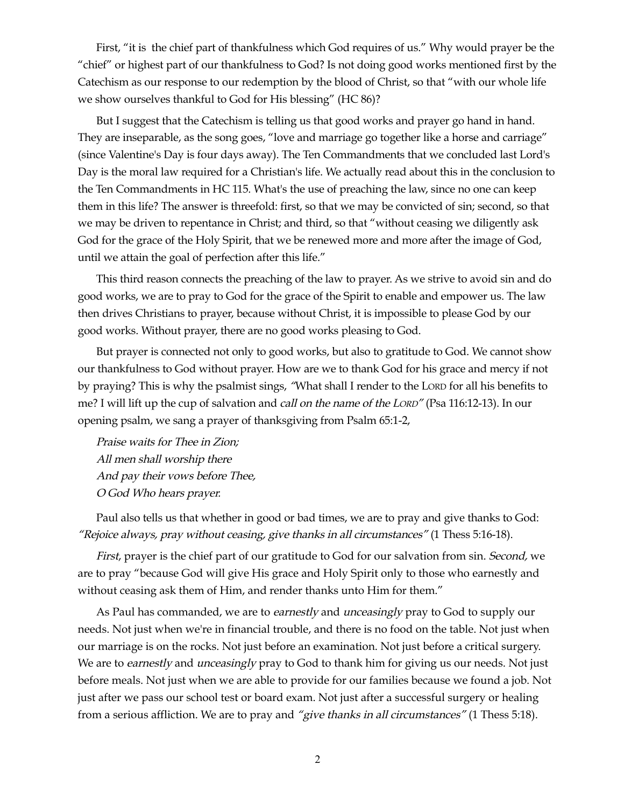First, "it is the chief part of thankfulness which God requires of us." Why would prayer be the "chief" or highest part of our thankfulness to God? Is not doing good works mentioned first by the Catechism as our response to our redemption by the blood of Christ, so that "with our whole life we show ourselves thankful to God for His blessing" (HC 86)?

But I suggest that the Catechism is telling us that good works and prayer go hand in hand. They are inseparable, as the song goes, "love and marriage go together like a horse and carriage" (since Valentine's Day is four days away). The Ten Commandments that we concluded last Lord's Day is the moral law required for a Christian's life. We actually read about this in the conclusion to the Ten Commandments in HC 115. What's the use of preaching the law, since no one can keep them in this life? The answer is threefold: first, so that we may be convicted of sin; second, so that we may be driven to repentance in Christ; and third, so that "without ceasing we diligently ask God for the grace of the Holy Spirit, that we be renewed more and more after the image of God, until we attain the goal of perfection after this life."

This third reason connects the preaching of the law to prayer. As we strive to avoid sin and do good works, we are to pray to God for the grace of the Spirit to enable and empower us. The law then drives Christians to prayer, because without Christ, it is impossible to please God by our good works. Without prayer, there are no good works pleasing to God.

But prayer is connected not only to good works, but also to gratitude to God. We cannot show our thankfulness to God without prayer. How are we to thank God for his grace and mercy if not by praying? This is why the psalmist sings, "What shall I render to the LORD for all his benefits to me? I will lift up the cup of salvation and call on the name of the LORD" (Psa 116:12-13). In our opening psalm, we sang a prayer of thanksgiving from Psalm 65:1-2,

Praise waits for Thee in Zion; All men shall worship there And pay their vows before Thee, O God Who hears prayer.

Paul also tells us that whether in good or bad times, we are to pray and give thanks to God: "Rejoice always, pray without ceasing, give thanks in all circumstances" (1 Thess 5:16-18).

First, prayer is the chief part of our gratitude to God for our salvation from sin. Second, we are to pray "because God will give His grace and Holy Spirit only to those who earnestly and without ceasing ask them of Him, and render thanks unto Him for them."

As Paul has commanded, we are to earnestly and unceasingly pray to God to supply our needs. Not just when we're in financial trouble, and there is no food on the table. Not just when our marriage is on the rocks. Not just before an examination. Not just before a critical surgery. We are to earnestly and unceasingly pray to God to thank him for giving us our needs. Not just before meals. Not just when we are able to provide for our families because we found a job. Not just after we pass our school test or board exam. Not just after a successful surgery or healing from a serious affliction. We are to pray and "give thanks in all circumstances" (1 Thess 5:18).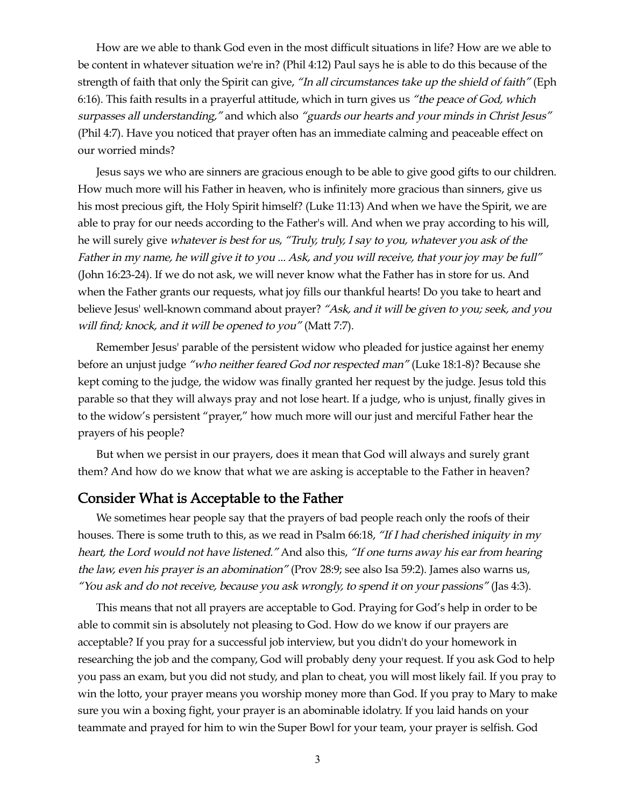How are we able to thank God even in the most difficult situations in life? How are we able to be content in whatever situation we're in? (Phil 4:12) Paul says he is able to do this because of the strength of faith that only the Spirit can give, "In all circumstances take up the shield of faith" (Eph 6:16). This faith results in a prayerful attitude, which in turn gives us "the peace of God, which surpasses all understanding," and which also "guards our hearts and your minds in Christ Jesus" (Phil 4:7). Have you noticed that prayer often has an immediate calming and peaceable effect on our worried minds?

Jesus says we who are sinners are gracious enough to be able to give good gifts to our children. How much more will his Father in heaven, who is infinitely more gracious than sinners, give us his most precious gift, the Holy Spirit himself? (Luke 11:13) And when we have the Spirit, we are able to pray for our needs according to the Father's will. And when we pray according to his will, he will surely give whatever is best for us, "Truly, truly, I say to you, whatever you ask of the Father in my name, he will give it to you ... Ask, and you will receive, that your joy may be full" (John 16:23-24). If we do not ask, we will never know what the Father has in store for us. And when the Father grants our requests, what joy fills our thankful hearts! Do you take to heart and believe Jesus' well-known command about prayer? "Ask, and it will be given to you; seek, and you will find; knock, and it will be opened to you" (Matt 7:7).

Remember Jesus' parable of the persistent widow who pleaded for justice against her enemy before an unjust judge "who neither feared God nor respected man" (Luke 18:1-8)? Because she kept coming to the judge, the widow was finally granted her request by the judge. Jesus told this parable so that they will always pray and not lose heart. If a judge, who is unjust, finally gives in to the widow's persistent "prayer," how much more will our just and merciful Father hear the prayers of his people?

But when we persist in our prayers, does it mean that God will always and surely grant them? And how do we know that what we are asking is acceptable to the Father in heaven?

#### Consider What is Acceptable to the Father

We sometimes hear people say that the prayers of bad people reach only the roofs of their houses. There is some truth to this, as we read in Psalm 66:18, "If I had cherished iniquity in my heart, the Lord would not have listened." And also this, "If one turns away his ear from hearing the law, even his prayer is an abomination" (Prov 28:9; see also Isa 59:2). James also warns us, "You ask and do not receive, because you ask wrongly, to spend it on your passions" (Jas 4:3).

This means that not all prayers are acceptable to God. Praying for God's help in order to be able to commit sin is absolutely not pleasing to God. How do we know if our prayers are acceptable? If you pray for a successful job interview, but you didn't do your homework in researching the job and the company, God will probably deny your request. If you ask God to help you pass an exam, but you did not study, and plan to cheat, you will most likely fail. If you pray to win the lotto, your prayer means you worship money more than God. If you pray to Mary to make sure you win a boxing fight, your prayer is an abominable idolatry. If you laid hands on your teammate and prayed for him to win the Super Bowl for your team, your prayer is selfish. God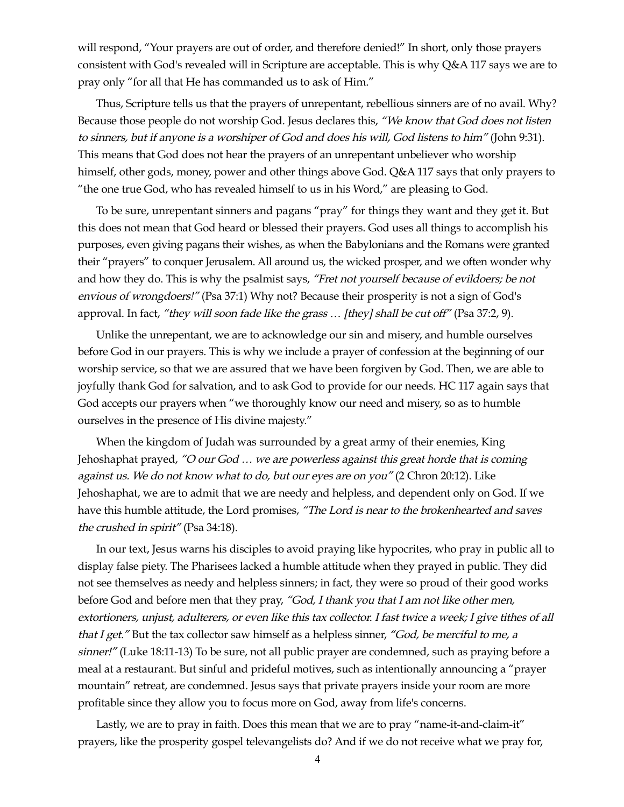will respond, "Your prayers are out of order, and therefore denied!" In short, only those prayers consistent with God's revealed will in Scripture are acceptable. This is why Q&A 117 says we are to pray only "for all that He has commanded us to ask of Him."

Thus, Scripture tells us that the prayers of unrepentant, rebellious sinners are of no avail. Why? Because those people do not worship God. Jesus declares this, "We know that God does not listen to sinners, but if anyone is a worshiper of God and does his will, God listens to him" (John 9:31). This means that God does not hear the prayers of an unrepentant unbeliever who worship himself, other gods, money, power and other things above God. Q&A 117 says that only prayers to "the one true God, who has revealed himself to us in his Word," are pleasing to God.

To be sure, unrepentant sinners and pagans "pray" for things they want and they get it. But this does not mean that God heard or blessed their prayers. God uses all things to accomplish his purposes, even giving pagans their wishes, as when the Babylonians and the Romans were granted their "prayers" to conquer Jerusalem. All around us, the wicked prosper, and we often wonder why and how they do. This is why the psalmist says, "Fret not yourself because of evildoers; be not envious of wrongdoers!" (Psa 37:1) Why not? Because their prosperity is not a sign of God's approval. In fact, "they will soon fade like the grass ... [they] shall be cut off" (Psa 37:2, 9).

Unlike the unrepentant, we are to acknowledge our sin and misery, and humble ourselves before God in our prayers. This is why we include a prayer of confession at the beginning of our worship service, so that we are assured that we have been forgiven by God. Then, we are able to joyfully thank God for salvation, and to ask God to provide for our needs. HC 117 again says that God accepts our prayers when "we thoroughly know our need and misery, so as to humble ourselves in the presence of His divine majesty."

When the kingdom of Judah was surrounded by a great army of their enemies, King Jehoshaphat prayed, "O our God ... we are powerless against this great horde that is coming against us. We do not know what to do, but our eyes are on you" (2 Chron 20:12). Like Jehoshaphat, we are to admit that we are needy and helpless, and dependent only on God. If we have this humble attitude, the Lord promises, "The Lord is near to the brokenhearted and saves the crushed in spirit" (Psa 34:18).

In our text, Jesus warns his disciples to avoid praying like hypocrites, who pray in public all to display false piety. The Pharisees lacked a humble attitude when they prayed in public. They did not see themselves as needy and helpless sinners; in fact, they were so proud of their good works before God and before men that they pray, "God, I thank you that I am not like other men, extortioners, unjust, adulterers, or even like this tax collector. I fast twice a week; I give tithes of all that I get." But the tax collector saw himself as a helpless sinner, "God, be merciful to me, a sinner!" (Luke 18:11-13) To be sure, not all public prayer are condemned, such as praying before a meal at a restaurant. But sinful and prideful motives, such as intentionally announcing a "prayer mountain" retreat, are condemned. Jesus says that private prayers inside your room are more profitable since they allow you to focus more on God, away from life's concerns.

Lastly, we are to pray in faith. Does this mean that we are to pray "name-it-and-claim-it" prayers, like the prosperity gospel televangelists do? And if we do not receive what we pray for,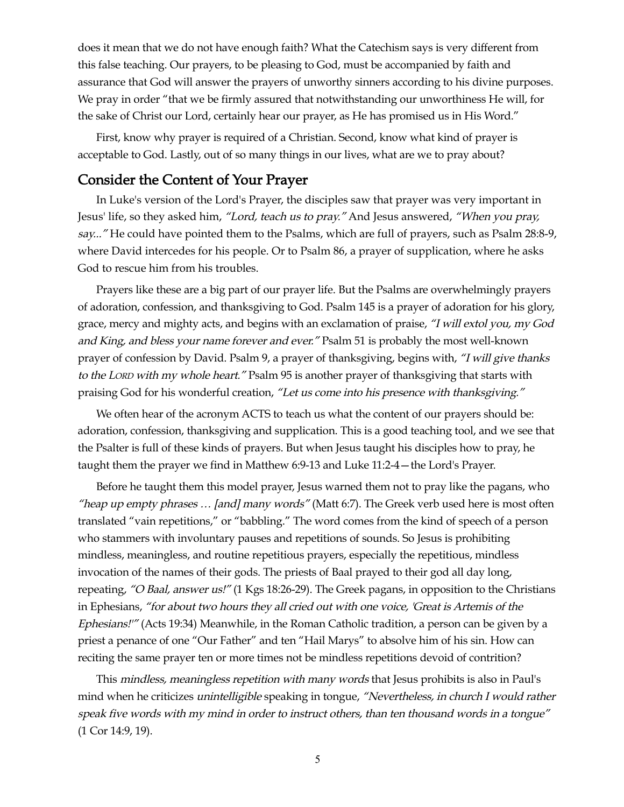does it mean that we do not have enough faith? What the Catechism says is very different from this false teaching. Our prayers, to be pleasing to God, must be accompanied by faith and assurance that God will answer the prayers of unworthy sinners according to his divine purposes. We pray in order "that we be firmly assured that notwithstanding our unworthiness He will, for the sake of Christ our Lord, certainly hear our prayer, as He has promised us in His Word."

First, know why prayer is required of a Christian. Second, know what kind of prayer is acceptable to God. Lastly, out of so many things in our lives, what are we to pray about?

#### Consider the Content of Your Prayer

In Luke's version of the Lord's Prayer, the disciples saw that prayer was very important in Jesus' life, so they asked him, "Lord, teach us to pray." And Jesus answered, "When you pray, say..." He could have pointed them to the Psalms, which are full of prayers, such as Psalm 28:8-9, where David intercedes for his people. Or to Psalm 86, a prayer of supplication, where he asks God to rescue him from his troubles.

Prayers like these are a big part of our prayer life. But the Psalms are overwhelmingly prayers of adoration, confession, and thanksgiving to God. Psalm 145 is a prayer of adoration for his glory, grace, mercy and mighty acts, and begins with an exclamation of praise, "I will extol you, my God and King, and bless your name forever and ever." Psalm 51 is probably the most well-known prayer of confession by David. Psalm 9, a prayer of thanksgiving, begins with, "I will give thanks to the LORD with my whole heart." Psalm 95 is another prayer of thanksgiving that starts with praising God for his wonderful creation, "Let us come into his presence with thanksgiving."

We often hear of the acronym ACTS to teach us what the content of our prayers should be: adoration, confession, thanksgiving and supplication. This is a good teaching tool, and we see that the Psalter is full of these kinds of prayers. But when Jesus taught his disciples how to pray, he taught them the prayer we find in Matthew 6:9-13 and Luke 11:2-4—the Lord's Prayer.

Before he taught them this model prayer, Jesus warned them not to pray like the pagans, who "heap up empty phrases ... [and] many words" (Matt 6:7). The Greek verb used here is most often translated "vain repetitions," or "babbling." The word comes from the kind of speech of a person who stammers with involuntary pauses and repetitions of sounds. So Jesus is prohibiting mindless, meaningless, and routine repetitious prayers, especially the repetitious, mindless invocation of the names of their gods. The priests of Baal prayed to their god all day long, repeating, "O Baal, answer us!" (1 Kgs 18:26-29). The Greek pagans, in opposition to the Christians in Ephesians, "for about two hours they all cried out with one voice, 'Great is Artemis of the Ephesians!'" (Acts 19:34) Meanwhile, in the Roman Catholic tradition, a person can be given by a priest a penance of one "Our Father" and ten "Hail Marys" to absolve him of his sin. How can reciting the same prayer ten or more times not be mindless repetitions devoid of contrition?

This mindless, meaningless repetition with many words that Jesus prohibits is also in Paul's mind when he criticizes unintelligible speaking in tongue, "Nevertheless, in church I would rather speak five words with my mind in order to instruct others, than ten thousand words in a tongue" (1 Cor 14:9, 19).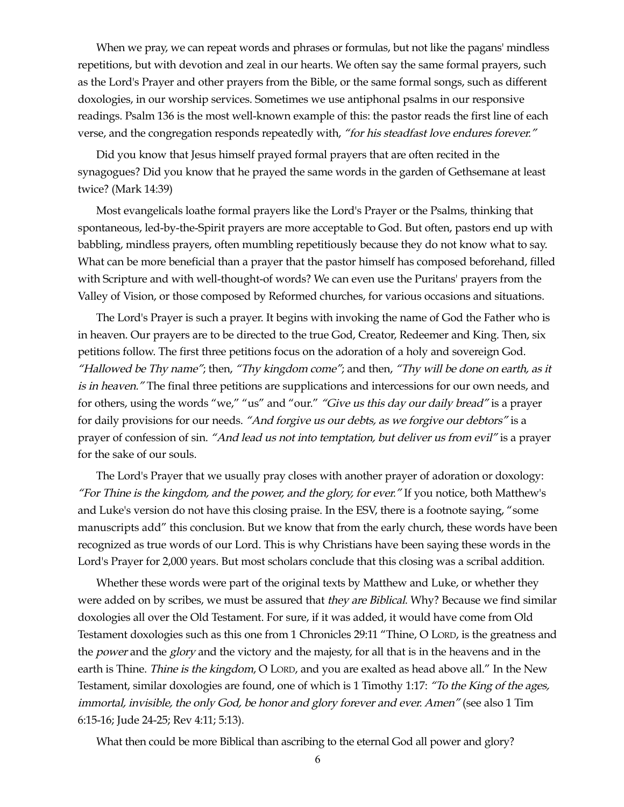When we pray, we can repeat words and phrases or formulas, but not like the pagans' mindless repetitions, but with devotion and zeal in our hearts. We often say the same formal prayers, such as the Lord's Prayer and other prayers from the Bible, or the same formal songs, such as different doxologies, in our worship services. Sometimes we use antiphonal psalms in our responsive readings. Psalm 136 is the most well-known example of this: the pastor reads the first line of each verse, and the congregation responds repeatedly with, "for his steadfast love endures forever."

Did you know that Jesus himself prayed formal prayers that are often recited in the synagogues? Did you know that he prayed the same words in the garden of Gethsemane at least twice? (Mark 14:39)

Most evangelicals loathe formal prayers like the Lord's Prayer or the Psalms, thinking that spontaneous, led-by-the-Spirit prayers are more acceptable to God. But often, pastors end up with babbling, mindless prayers, often mumbling repetitiously because they do not know what to say. What can be more beneficial than a prayer that the pastor himself has composed beforehand, filled with Scripture and with well-thought-of words? We can even use the Puritans' prayers from the Valley of Vision, or those composed by Reformed churches, for various occasions and situations.

The Lord's Prayer is such a prayer. It begins with invoking the name of God the Father who is in heaven. Our prayers are to be directed to the true God, Creator, Redeemer and King. Then, six petitions follow. The first three petitions focus on the adoration of a holy and sovereign God. "Hallowed be Thy name"; then, "Thy kingdom come"; and then, "Thy will be done on earth, as it is in heaven." The final three petitions are supplications and intercessions for our own needs, and for others, using the words "we," "us" and "our." "Give us this day our daily bread" is a prayer for daily provisions for our needs. "And forgive us our debts, as we forgive our debtors" is a prayer of confession of sin. "And lead us not into temptation, but deliver us from evil" is a prayer for the sake of our souls.

The Lord's Prayer that we usually pray closes with another prayer of adoration or doxology: "For Thine is the kingdom, and the power, and the glory, for ever." If you notice, both Matthew's and Luke's version do not have this closing praise. In the ESV, there is a footnote saying, "some manuscripts add" this conclusion. But we know that from the early church, these words have been recognized as true words of our Lord. This is why Christians have been saying these words in the Lord's Prayer for 2,000 years. But most scholars conclude that this closing was a scribal addition.

Whether these words were part of the original texts by Matthew and Luke, or whether they were added on by scribes, we must be assured that they are Biblical. Why? Because we find similar doxologies all over the Old Testament. For sure, if it was added, it would have come from Old Testament doxologies such as this one from 1 Chronicles 29:11 "Thine, O LORD, is the greatness and the *power* and the *glory* and the victory and the majesty, for all that is in the heavens and in the earth is Thine. *Thine is the kingdom*, O LORD, and you are exalted as head above all." In the New Testament, similar doxologies are found, one of which is 1 Timothy 1:17: "To the King of the ages, immortal, invisible, the only God, be honor and glory forever and ever. Amen" (see also 1 Tim 6:15-16; Jude 24-25; Rev 4:11; 5:13).

What then could be more Biblical than ascribing to the eternal God all power and glory?